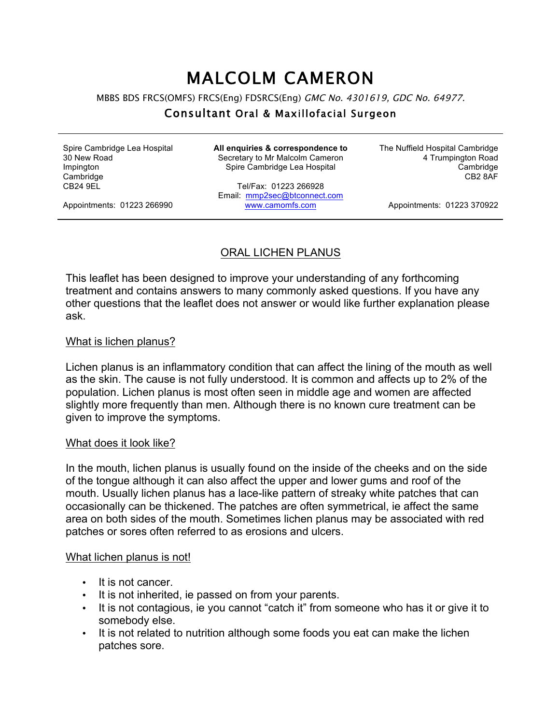# MALCOLM CAMERON

MBBS BDS FRCS(OMFS) FRCS(Eng) FDSRCS(Eng) GMC No. 4301619, GDC No. 64977.

## Consultant Oral & Maxillofacial Surgeon

Spire Cambridge Lea Hospital 30 New Road Impington **Cambridge** CB24 9EL

**All enquiries & correspondence to** Secretary to Mr Malcolm Cameron Spire Cambridge Lea Hospital

Tel/Fax: 01223 266928 Email: mmp2sec@btconnect.com www.camomfs.com

The Nuffield Hospital Cambridge 4 Trumpington Road Cambridge CB2 8AF

Appointments: 01223 266990

Appointments: 01223 370922

## ORAL LICHEN PLANUS

This leaflet has been designed to improve your understanding of any forthcoming treatment and contains answers to many commonly asked questions. If you have any other questions that the leaflet does not answer or would like further explanation please ask.

## What is lichen planus?

Lichen planus is an inflammatory condition that can affect the lining of the mouth as well as the skin. The cause is not fully understood. It is common and affects up to 2% of the population. Lichen planus is most often seen in middle age and women are affected slightly more frequently than men. Although there is no known cure treatment can be given to improve the symptoms.

#### What does it look like?

In the mouth, lichen planus is usually found on the inside of the cheeks and on the side of the tongue although it can also affect the upper and lower gums and roof of the mouth. Usually lichen planus has a lace-like pattern of streaky white patches that can occasionally can be thickened. The patches are often symmetrical, ie affect the same area on both sides of the mouth. Sometimes lichen planus may be associated with red patches or sores often referred to as erosions and ulcers.

## What lichen planus is not!

- It is not cancer.
- It is not inherited, ie passed on from your parents.
- It is not contagious, ie you cannot "catch it" from someone who has it or give it to somebody else.
- It is not related to nutrition although some foods you eat can make the lichen patches sore.